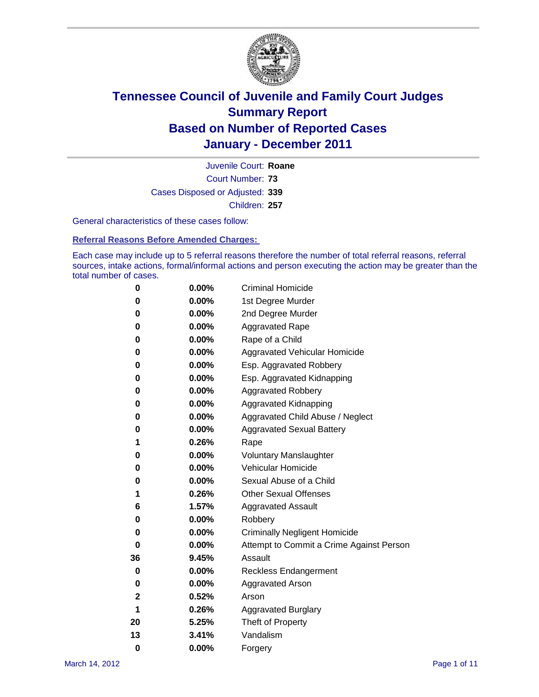

Court Number: **73** Juvenile Court: **Roane** Cases Disposed or Adjusted: **339** Children: **257**

General characteristics of these cases follow:

**Referral Reasons Before Amended Charges:** 

Each case may include up to 5 referral reasons therefore the number of total referral reasons, referral sources, intake actions, formal/informal actions and person executing the action may be greater than the total number of cases.

| 0  | 0.00%    | <b>Criminal Homicide</b>                 |
|----|----------|------------------------------------------|
| 0  | 0.00%    | 1st Degree Murder                        |
| 0  | 0.00%    | 2nd Degree Murder                        |
| 0  | 0.00%    | <b>Aggravated Rape</b>                   |
| 0  | 0.00%    | Rape of a Child                          |
| 0  | 0.00%    | Aggravated Vehicular Homicide            |
| 0  | 0.00%    | Esp. Aggravated Robbery                  |
| 0  | 0.00%    | Esp. Aggravated Kidnapping               |
| 0  | 0.00%    | <b>Aggravated Robbery</b>                |
| 0  | 0.00%    | Aggravated Kidnapping                    |
| 0  | 0.00%    | Aggravated Child Abuse / Neglect         |
| 0  | $0.00\%$ | <b>Aggravated Sexual Battery</b>         |
| 1  | 0.26%    | Rape                                     |
| 0  | $0.00\%$ | <b>Voluntary Manslaughter</b>            |
| 0  | 0.00%    | Vehicular Homicide                       |
| 0  | 0.00%    | Sexual Abuse of a Child                  |
| 1  | 0.26%    | <b>Other Sexual Offenses</b>             |
| 6  | 1.57%    | <b>Aggravated Assault</b>                |
| 0  | $0.00\%$ | Robbery                                  |
| 0  | 0.00%    | <b>Criminally Negligent Homicide</b>     |
| 0  | 0.00%    | Attempt to Commit a Crime Against Person |
| 36 | 9.45%    | Assault                                  |
| 0  | 0.00%    | <b>Reckless Endangerment</b>             |
| 0  | 0.00%    | <b>Aggravated Arson</b>                  |
| 2  | 0.52%    | Arson                                    |
| 1  | 0.26%    | <b>Aggravated Burglary</b>               |
| 20 | 5.25%    | Theft of Property                        |
| 13 | 3.41%    | Vandalism                                |
| 0  | 0.00%    | Forgery                                  |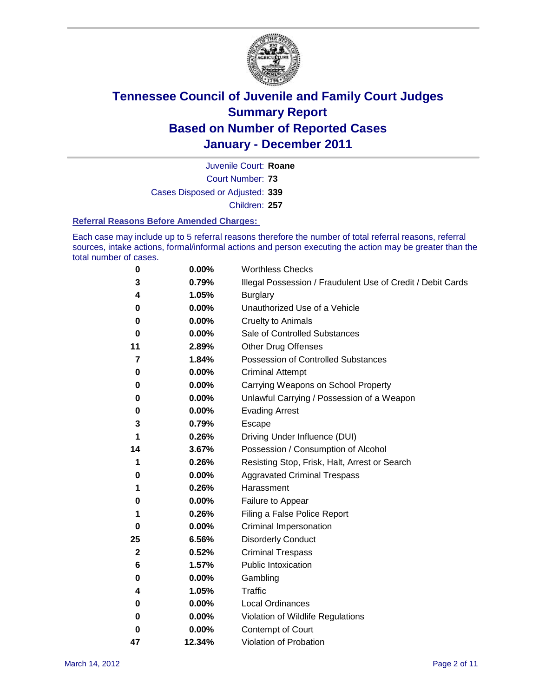

Court Number: **73** Juvenile Court: **Roane** Cases Disposed or Adjusted: **339**

Children: **257**

#### **Referral Reasons Before Amended Charges:**

Each case may include up to 5 referral reasons therefore the number of total referral reasons, referral sources, intake actions, formal/informal actions and person executing the action may be greater than the total number of cases.

| 0           | 0.00%  | <b>Worthless Checks</b>                                     |
|-------------|--------|-------------------------------------------------------------|
| 3           | 0.79%  | Illegal Possession / Fraudulent Use of Credit / Debit Cards |
| 4           | 1.05%  | <b>Burglary</b>                                             |
| 0           | 0.00%  | Unauthorized Use of a Vehicle                               |
| 0           | 0.00%  | <b>Cruelty to Animals</b>                                   |
| 0           | 0.00%  | Sale of Controlled Substances                               |
| 11          | 2.89%  | <b>Other Drug Offenses</b>                                  |
| 7           | 1.84%  | Possession of Controlled Substances                         |
| 0           | 0.00%  | <b>Criminal Attempt</b>                                     |
| 0           | 0.00%  | Carrying Weapons on School Property                         |
| 0           | 0.00%  | Unlawful Carrying / Possession of a Weapon                  |
| 0           | 0.00%  | <b>Evading Arrest</b>                                       |
| 3           | 0.79%  | Escape                                                      |
| 1           | 0.26%  | Driving Under Influence (DUI)                               |
| 14          | 3.67%  | Possession / Consumption of Alcohol                         |
| 1           | 0.26%  | Resisting Stop, Frisk, Halt, Arrest or Search               |
| 0           | 0.00%  | <b>Aggravated Criminal Trespass</b>                         |
| 1           | 0.26%  | Harassment                                                  |
| 0           | 0.00%  | Failure to Appear                                           |
| 1           | 0.26%  | Filing a False Police Report                                |
| 0           | 0.00%  | Criminal Impersonation                                      |
| 25          | 6.56%  | <b>Disorderly Conduct</b>                                   |
| $\mathbf 2$ | 0.52%  | <b>Criminal Trespass</b>                                    |
| 6           | 1.57%  | <b>Public Intoxication</b>                                  |
| 0           | 0.00%  | Gambling                                                    |
| 4           | 1.05%  | Traffic                                                     |
| 0           | 0.00%  | <b>Local Ordinances</b>                                     |
| $\bf{0}$    | 0.00%  | Violation of Wildlife Regulations                           |
| 0           | 0.00%  | Contempt of Court                                           |
| 47          | 12.34% | Violation of Probation                                      |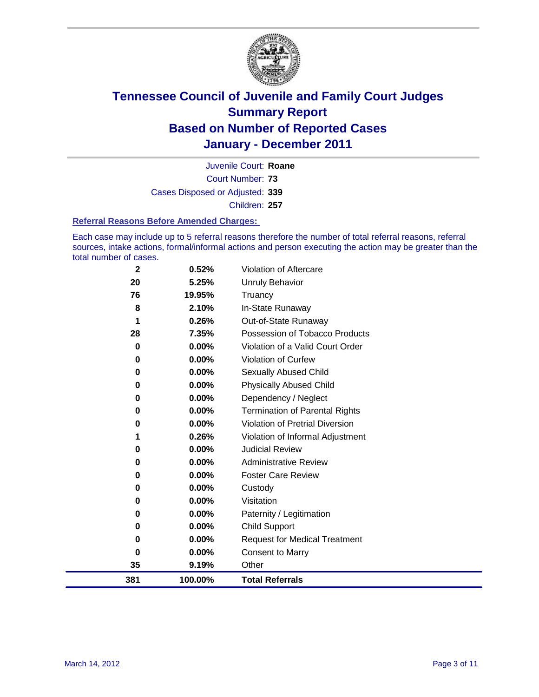

Court Number: **73** Juvenile Court: **Roane** Cases Disposed or Adjusted: **339** Children: **257**

#### **Referral Reasons Before Amended Charges:**

Each case may include up to 5 referral reasons therefore the number of total referral reasons, referral sources, intake actions, formal/informal actions and person executing the action may be greater than the total number of cases.

| 381      | 100.00%  | <b>Total Referrals</b>                 |
|----------|----------|----------------------------------------|
| 35       | 9.19%    | Other                                  |
| $\bf{0}$ | 0.00%    | <b>Consent to Marry</b>                |
| 0        | 0.00%    | <b>Request for Medical Treatment</b>   |
| 0        | 0.00%    | <b>Child Support</b>                   |
| 0        | 0.00%    | Paternity / Legitimation               |
| 0        | 0.00%    | Visitation                             |
| 0        | 0.00%    | Custody                                |
| 0        | $0.00\%$ | <b>Foster Care Review</b>              |
| $\bf{0}$ | $0.00\%$ | <b>Administrative Review</b>           |
| $\bf{0}$ | 0.00%    | <b>Judicial Review</b>                 |
|          | 0.26%    | Violation of Informal Adjustment       |
| 0        | 0.00%    | <b>Violation of Pretrial Diversion</b> |
| $\bf{0}$ | 0.00%    | <b>Termination of Parental Rights</b>  |
| 0        | 0.00%    | Dependency / Neglect                   |
| 0        | 0.00%    | <b>Physically Abused Child</b>         |
| 0        | 0.00%    | Sexually Abused Child                  |
| $\bf{0}$ | 0.00%    | Violation of Curfew                    |
| 0        | 0.00%    | Violation of a Valid Court Order       |
| 28       | 7.35%    | Possession of Tobacco Products         |
| 1        | 0.26%    | Out-of-State Runaway                   |
| 8        | 2.10%    | In-State Runaway                       |
| 76       | 19.95%   | Truancy                                |
| 20       | 5.25%    | <b>Unruly Behavior</b>                 |
| 2        | 0.52%    | Violation of Aftercare                 |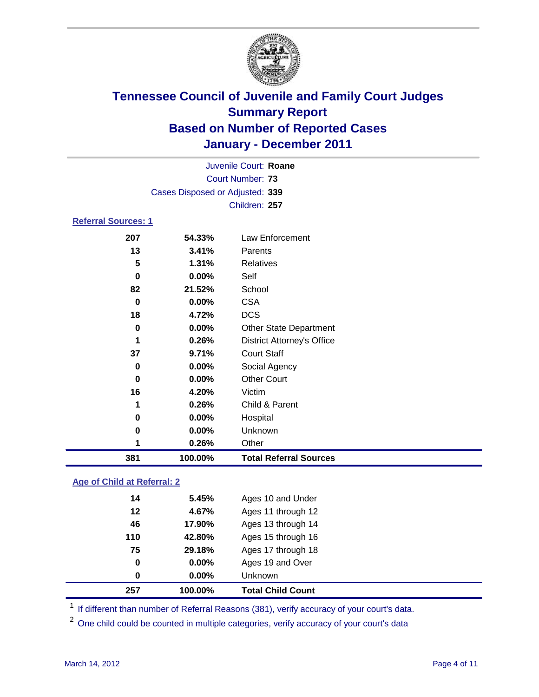

|                            | Juvenile Court: Roane           |                                   |  |  |  |
|----------------------------|---------------------------------|-----------------------------------|--|--|--|
|                            | <b>Court Number: 73</b>         |                                   |  |  |  |
|                            | Cases Disposed or Adjusted: 339 |                                   |  |  |  |
|                            |                                 | Children: 257                     |  |  |  |
| <b>Referral Sources: 1</b> |                                 |                                   |  |  |  |
| 207                        | 54.33%                          | <b>Law Enforcement</b>            |  |  |  |
| 13                         | 3.41%                           | Parents                           |  |  |  |
| 5                          | 1.31%                           | <b>Relatives</b>                  |  |  |  |
| 0                          | 0.00%                           | Self                              |  |  |  |
| 82                         | 21.52%                          | School                            |  |  |  |
| $\bf{0}$                   | 0.00%                           | <b>CSA</b>                        |  |  |  |
| 18                         | 4.72%                           | <b>DCS</b>                        |  |  |  |
| 0                          | 0.00%                           | <b>Other State Department</b>     |  |  |  |
| 1                          | 0.26%                           | <b>District Attorney's Office</b> |  |  |  |
| 37                         | 9.71%                           | <b>Court Staff</b>                |  |  |  |
| 0                          | 0.00%                           | Social Agency                     |  |  |  |
| 0                          | 0.00%                           | <b>Other Court</b>                |  |  |  |
| 16                         | 4.20%                           | Victim                            |  |  |  |
| 1                          | 0.26%                           | Child & Parent                    |  |  |  |
| 0                          | 0.00%                           | Hospital                          |  |  |  |
| 0                          | 0.00%                           | Unknown                           |  |  |  |
| 1                          | 0.26%                           | Other                             |  |  |  |
| 381                        | 100.00%                         | <b>Total Referral Sources</b>     |  |  |  |
|                            |                                 |                                   |  |  |  |

### **Age of Child at Referral: 2**

| 42.80%<br>29.18%<br>0.00%<br>$0.00\%$ | Ages 15 through 16<br>Ages 17 through 18<br>Ages 19 and Over<br><b>Unknown</b> |
|---------------------------------------|--------------------------------------------------------------------------------|
|                                       |                                                                                |
|                                       |                                                                                |
|                                       |                                                                                |
|                                       |                                                                                |
| 17.90%                                | Ages 13 through 14                                                             |
| 4.67%                                 | Ages 11 through 12                                                             |
|                                       | Ages 10 and Under                                                              |
|                                       | 5.45%                                                                          |

<sup>1</sup> If different than number of Referral Reasons (381), verify accuracy of your court's data.

<sup>2</sup> One child could be counted in multiple categories, verify accuracy of your court's data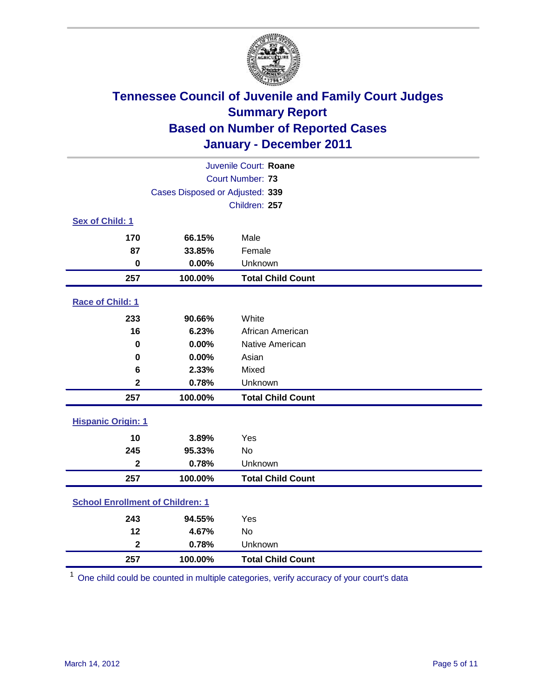

|                                         | Juvenile Court: Roane           |                          |  |  |
|-----------------------------------------|---------------------------------|--------------------------|--|--|
|                                         | <b>Court Number: 73</b>         |                          |  |  |
|                                         | Cases Disposed or Adjusted: 339 |                          |  |  |
|                                         |                                 | Children: 257            |  |  |
| Sex of Child: 1                         |                                 |                          |  |  |
| 170                                     | 66.15%                          | Male                     |  |  |
| 87                                      | 33.85%                          | Female                   |  |  |
| $\mathbf 0$                             | 0.00%                           | Unknown                  |  |  |
| 257                                     | 100.00%                         | <b>Total Child Count</b> |  |  |
| Race of Child: 1                        |                                 |                          |  |  |
| 233                                     | 90.66%                          | White                    |  |  |
| 16                                      | 6.23%                           | African American         |  |  |
| 0                                       | 0.00%                           | Native American          |  |  |
| 0                                       | 0.00%                           | Asian                    |  |  |
| 6                                       | 2.33%                           | Mixed                    |  |  |
| $\overline{\mathbf{2}}$                 | 0.78%                           | Unknown                  |  |  |
| 257                                     | 100.00%                         | <b>Total Child Count</b> |  |  |
| <b>Hispanic Origin: 1</b>               |                                 |                          |  |  |
| 10                                      | 3.89%                           | Yes                      |  |  |
| 245                                     | 95.33%                          | No                       |  |  |
| $\overline{\mathbf{2}}$                 | 0.78%                           | Unknown                  |  |  |
| 257                                     | 100.00%                         | <b>Total Child Count</b> |  |  |
| <b>School Enrollment of Children: 1</b> |                                 |                          |  |  |
| 243                                     | 94.55%                          | Yes                      |  |  |
| 12                                      | 4.67%                           | No                       |  |  |
| $\overline{\mathbf{2}}$                 | 0.78%                           | Unknown                  |  |  |
| 257                                     | 100.00%                         | <b>Total Child Count</b> |  |  |

One child could be counted in multiple categories, verify accuracy of your court's data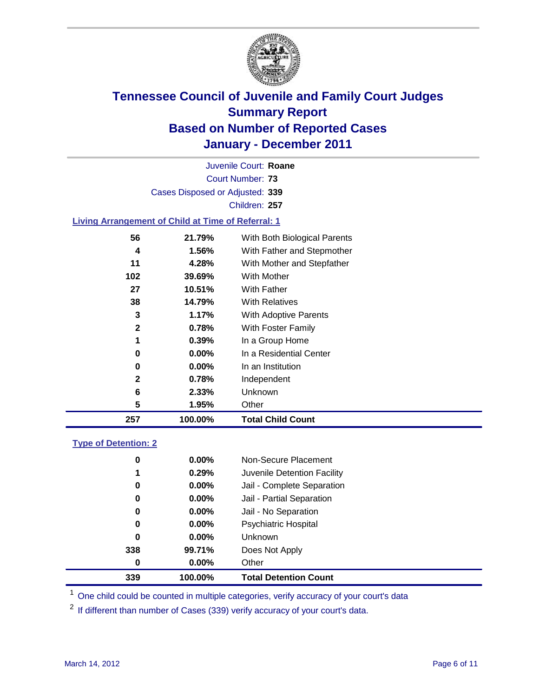

Court Number: **73** Juvenile Court: **Roane** Cases Disposed or Adjusted: **339** Children: **257**

#### **Living Arrangement of Child at Time of Referral: 1**

| 0<br>0<br>2<br>6<br>5 | $0.00\%$<br>0.00%<br>0.78%<br>2.33%<br>1.95% | In a Residential Center<br>In an Institution<br>Independent<br>Unknown<br>Other |  |
|-----------------------|----------------------------------------------|---------------------------------------------------------------------------------|--|
|                       |                                              |                                                                                 |  |
|                       |                                              |                                                                                 |  |
|                       |                                              |                                                                                 |  |
|                       |                                              |                                                                                 |  |
|                       |                                              |                                                                                 |  |
| 1                     | 0.39%                                        | In a Group Home                                                                 |  |
| $\mathbf{2}$          | 0.78%                                        | With Foster Family                                                              |  |
| 3                     | 1.17%                                        | <b>With Adoptive Parents</b>                                                    |  |
| 38                    | 14.79%                                       | <b>With Relatives</b>                                                           |  |
| 27                    | 10.51%                                       | With Father                                                                     |  |
| 102                   | 39.69%                                       | With Mother                                                                     |  |
| 11                    | 4.28%                                        | With Mother and Stepfather                                                      |  |
| 4                     | 1.56%                                        | With Father and Stepmother                                                      |  |
| 56                    | 21.79%                                       | With Both Biological Parents                                                    |  |
|                       |                                              |                                                                                 |  |

#### **Type of Detention: 2**

| 339 | 100.00%  | <b>Total Detention Count</b> |  |
|-----|----------|------------------------------|--|
| 0   | $0.00\%$ | Other                        |  |
| 338 | 99.71%   | Does Not Apply               |  |
| 0   | $0.00\%$ | <b>Unknown</b>               |  |
| 0   | $0.00\%$ | <b>Psychiatric Hospital</b>  |  |
| 0   | 0.00%    | Jail - No Separation         |  |
| 0   | $0.00\%$ | Jail - Partial Separation    |  |
| 0   | 0.00%    | Jail - Complete Separation   |  |
| 1   | 0.29%    | Juvenile Detention Facility  |  |
| 0   | $0.00\%$ | Non-Secure Placement         |  |
|     |          |                              |  |

<sup>1</sup> One child could be counted in multiple categories, verify accuracy of your court's data

<sup>2</sup> If different than number of Cases (339) verify accuracy of your court's data.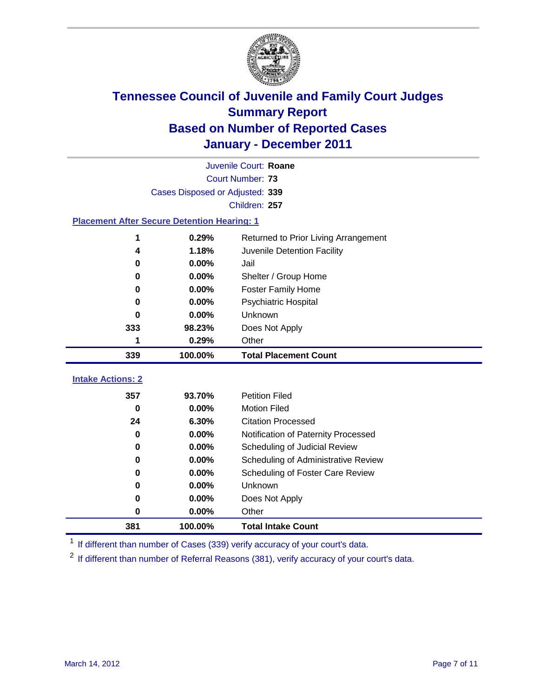

|                                                    | Juvenile Court: Roane           |                                      |  |  |  |
|----------------------------------------------------|---------------------------------|--------------------------------------|--|--|--|
|                                                    | Court Number: 73                |                                      |  |  |  |
|                                                    | Cases Disposed or Adjusted: 339 |                                      |  |  |  |
| Children: 257                                      |                                 |                                      |  |  |  |
| <b>Placement After Secure Detention Hearing: 1</b> |                                 |                                      |  |  |  |
| 1                                                  | 0.29%                           | Returned to Prior Living Arrangement |  |  |  |
| 4                                                  | 1.18%                           | Juvenile Detention Facility          |  |  |  |
| 0                                                  | 0.00%                           | Jail                                 |  |  |  |
| 0                                                  | 0.00%                           | Shelter / Group Home                 |  |  |  |
| 0                                                  | 0.00%                           | <b>Foster Family Home</b>            |  |  |  |
| 0                                                  | 0.00%                           | Psychiatric Hospital                 |  |  |  |
| 0                                                  | $0.00\%$                        | Unknown                              |  |  |  |
| 333                                                | 98.23%                          | Does Not Apply                       |  |  |  |
| 1                                                  | 0.29%                           | Other                                |  |  |  |
| 339                                                | 100.00%                         | <b>Total Placement Count</b>         |  |  |  |
| <b>Intake Actions: 2</b>                           |                                 |                                      |  |  |  |
| 357                                                | 93.70%                          | <b>Petition Filed</b>                |  |  |  |
| $\bf{0}$                                           | 0.00%                           | <b>Motion Filed</b>                  |  |  |  |
| 24                                                 | 6.30%                           | <b>Citation Processed</b>            |  |  |  |
| 0                                                  | 0.00%                           | Notification of Paternity Processed  |  |  |  |
| $\bf{0}$                                           | 0.00%                           | Scheduling of Judicial Review        |  |  |  |
| 0                                                  |                                 |                                      |  |  |  |
|                                                    | 0.00%                           | Scheduling of Administrative Review  |  |  |  |
| 0                                                  | 0.00%                           | Scheduling of Foster Care Review     |  |  |  |
| 0                                                  | 0.00%                           | Unknown                              |  |  |  |
| 0                                                  | 0.00%                           | Does Not Apply                       |  |  |  |
| $\pmb{0}$                                          | 0.00%                           | Other                                |  |  |  |

<sup>1</sup> If different than number of Cases (339) verify accuracy of your court's data.

<sup>2</sup> If different than number of Referral Reasons (381), verify accuracy of your court's data.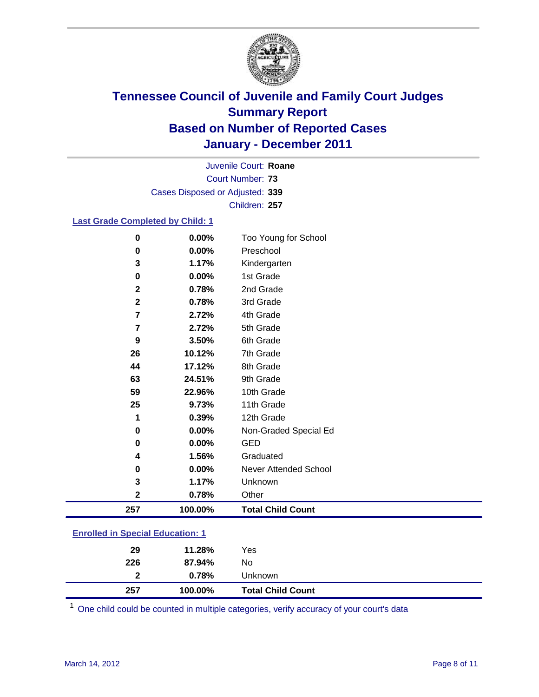

Court Number: **73** Juvenile Court: **Roane** Cases Disposed or Adjusted: **339** Children: **257**

#### **Last Grade Completed by Child: 1**

| $\bf{0}$                                | 0.00%   | Too Young for School         |  |
|-----------------------------------------|---------|------------------------------|--|
| 0                                       | 0.00%   | Preschool                    |  |
| 3                                       | 1.17%   | Kindergarten                 |  |
| 0                                       | 0.00%   | 1st Grade                    |  |
| $\mathbf{2}$                            | 0.78%   | 2nd Grade                    |  |
| $\mathbf{2}$                            | 0.78%   | 3rd Grade                    |  |
| $\overline{7}$                          | 2.72%   | 4th Grade                    |  |
| 7                                       | 2.72%   | 5th Grade                    |  |
| 9                                       | 3.50%   | 6th Grade                    |  |
| 26                                      | 10.12%  | 7th Grade                    |  |
| 44                                      | 17.12%  | 8th Grade                    |  |
| 63                                      | 24.51%  | 9th Grade                    |  |
| 59                                      | 22.96%  | 10th Grade                   |  |
| 25                                      | 9.73%   | 11th Grade                   |  |
| 1                                       | 0.39%   | 12th Grade                   |  |
| 0                                       | 0.00%   | Non-Graded Special Ed        |  |
| $\bf{0}$                                | 0.00%   | <b>GED</b>                   |  |
| 4                                       | 1.56%   | Graduated                    |  |
| 0                                       | 0.00%   | <b>Never Attended School</b> |  |
| 3                                       | 1.17%   | Unknown                      |  |
| $\mathbf{2}$                            | 0.78%   | Other                        |  |
| 257                                     | 100.00% | <b>Total Child Count</b>     |  |
| <b>Enrolled in Special Education: 1</b> |         |                              |  |

| 257                                | 100.00% | <b>Total Child Count</b> |  |  |
|------------------------------------|---------|--------------------------|--|--|
| $\mathbf{2}$                       | 0.78%   | Unknown                  |  |  |
| 226                                | 87.94%  | No                       |  |  |
| 29                                 | 11.28%  | Yes                      |  |  |
| __________________________________ |         |                          |  |  |

One child could be counted in multiple categories, verify accuracy of your court's data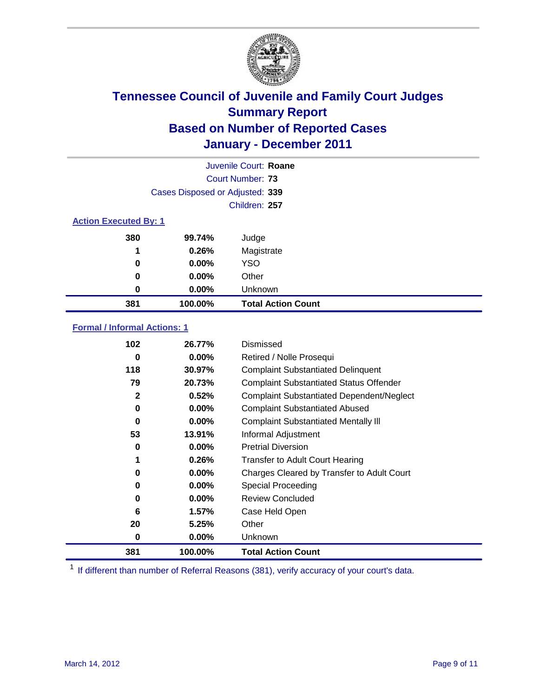

|                              |                                 | Juvenile Court: Roane     |
|------------------------------|---------------------------------|---------------------------|
|                              |                                 | Court Number: 73          |
|                              | Cases Disposed or Adjusted: 339 |                           |
|                              |                                 | Children: 257             |
| <b>Action Executed By: 1</b> |                                 |                           |
| 380                          | 99.74%                          | Judge                     |
| 1                            | 0.26%                           | Magistrate                |
| 0                            | $0.00\%$                        | <b>YSO</b>                |
| 0                            | 0.00%                           | Other                     |
| 0                            | 0.00%                           | Unknown                   |
| 381                          | 100.00%                         | <b>Total Action Count</b> |

#### **Formal / Informal Actions: 1**

| 102 | 26.77%   | Dismissed                                        |
|-----|----------|--------------------------------------------------|
| 0   | $0.00\%$ | Retired / Nolle Prosequi                         |
| 118 | 30.97%   | <b>Complaint Substantiated Delinquent</b>        |
| 79  | 20.73%   | <b>Complaint Substantiated Status Offender</b>   |
| 2   | 0.52%    | <b>Complaint Substantiated Dependent/Neglect</b> |
| 0   | 0.00%    | <b>Complaint Substantiated Abused</b>            |
| 0   | $0.00\%$ | <b>Complaint Substantiated Mentally III</b>      |
| 53  | 13.91%   | Informal Adjustment                              |
| 0   | $0.00\%$ | <b>Pretrial Diversion</b>                        |
| 1   | 0.26%    | <b>Transfer to Adult Court Hearing</b>           |
| 0   | $0.00\%$ | Charges Cleared by Transfer to Adult Court       |
| 0   | $0.00\%$ | <b>Special Proceeding</b>                        |
| 0   | $0.00\%$ | <b>Review Concluded</b>                          |
| 6   | 1.57%    | Case Held Open                                   |
| 20  | 5.25%    | Other                                            |
| 0   | $0.00\%$ | <b>Unknown</b>                                   |
| 381 | 100.00%  | <b>Total Action Count</b>                        |

<sup>1</sup> If different than number of Referral Reasons (381), verify accuracy of your court's data.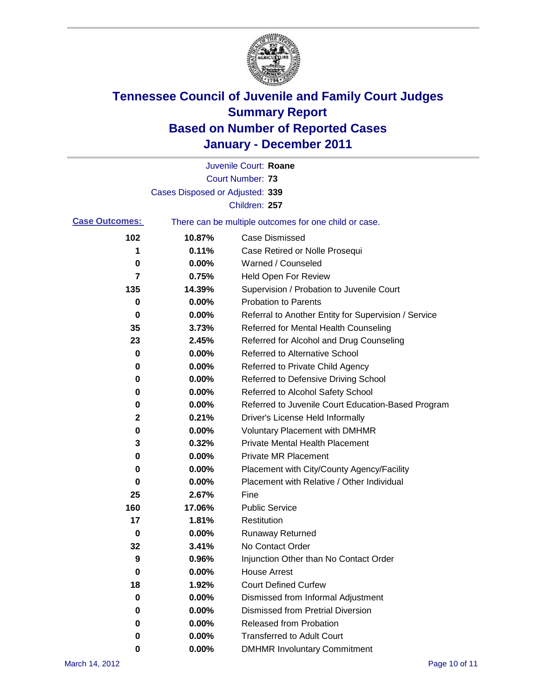

|                       |                                 | Juvenile Court: Roane                                 |
|-----------------------|---------------------------------|-------------------------------------------------------|
|                       |                                 | <b>Court Number: 73</b>                               |
|                       | Cases Disposed or Adjusted: 339 |                                                       |
|                       |                                 | Children: 257                                         |
| <b>Case Outcomes:</b> |                                 | There can be multiple outcomes for one child or case. |
| 102                   | 10.87%                          | <b>Case Dismissed</b>                                 |
| 1                     | 0.11%                           | Case Retired or Nolle Prosequi                        |
| 0                     | 0.00%                           | Warned / Counseled                                    |
| 7                     | 0.75%                           | Held Open For Review                                  |
| 135                   | 14.39%                          | Supervision / Probation to Juvenile Court             |
| 0                     | 0.00%                           | <b>Probation to Parents</b>                           |
| 0                     | 0.00%                           | Referral to Another Entity for Supervision / Service  |
| 35                    | 3.73%                           | Referred for Mental Health Counseling                 |
| 23                    | 2.45%                           | Referred for Alcohol and Drug Counseling              |
| 0                     | 0.00%                           | <b>Referred to Alternative School</b>                 |
| 0                     | 0.00%                           | Referred to Private Child Agency                      |
| 0                     | 0.00%                           | Referred to Defensive Driving School                  |
| 0                     | 0.00%                           | Referred to Alcohol Safety School                     |
| 0                     | 0.00%                           | Referred to Juvenile Court Education-Based Program    |
| 2                     | 0.21%                           | Driver's License Held Informally                      |
| 0                     | 0.00%                           | <b>Voluntary Placement with DMHMR</b>                 |
| 3                     | 0.32%                           | <b>Private Mental Health Placement</b>                |
| 0                     | 0.00%                           | <b>Private MR Placement</b>                           |
| 0                     | 0.00%                           | Placement with City/County Agency/Facility            |
| 0                     | 0.00%                           | Placement with Relative / Other Individual            |
| 25                    | 2.67%                           | Fine                                                  |
| 160                   | 17.06%                          | <b>Public Service</b>                                 |
| 17                    | 1.81%                           | Restitution                                           |
| 0                     | 0.00%                           | <b>Runaway Returned</b>                               |
| 32                    | 3.41%                           | No Contact Order                                      |
| 9                     | 0.96%                           | Injunction Other than No Contact Order                |
| 0                     | 0.00%                           | <b>House Arrest</b>                                   |
| 18                    | 1.92%                           | <b>Court Defined Curfew</b>                           |
| 0                     | 0.00%                           | Dismissed from Informal Adjustment                    |
| 0                     | 0.00%                           | <b>Dismissed from Pretrial Diversion</b>              |
| 0                     | 0.00%                           | <b>Released from Probation</b>                        |
| 0                     | 0.00%                           | <b>Transferred to Adult Court</b>                     |
| 0                     | 0.00%                           | <b>DMHMR Involuntary Commitment</b>                   |